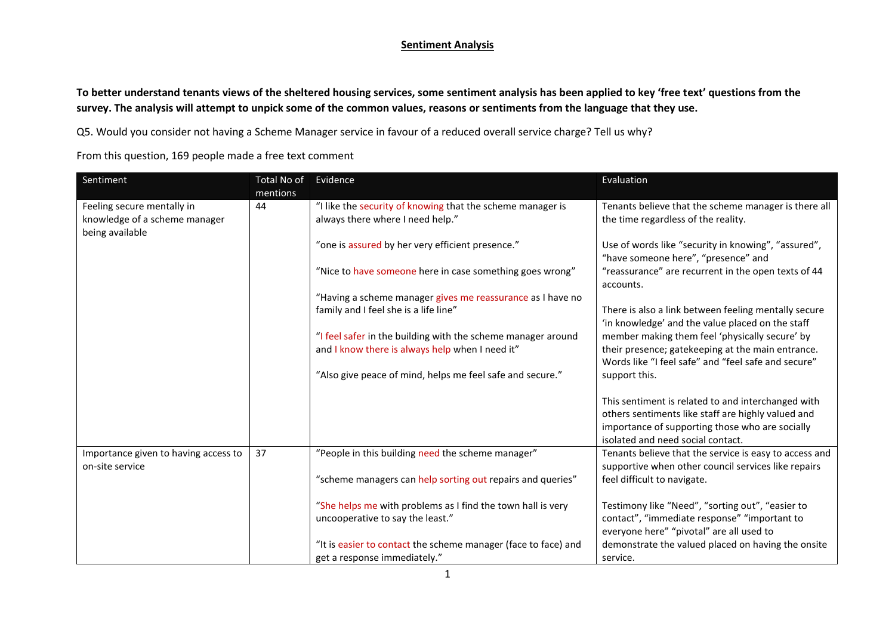## **Sentiment Analysis**

**To better understand tenants views of the sheltered housing services, some sentiment analysis has been applied to key 'free text' questions from the survey. The analysis will attempt to unpick some of the common values, reasons or sentiments from the language that they use.**

Q5. Would you consider not having a Scheme Manager service in favour of a reduced overall service charge? Tell us why?

From this question, 169 people made a free text comment

| Sentiment                                                                      | Total No of<br>mentions | Evidence                                                                                            | Evaluation                                                                                                                                   |
|--------------------------------------------------------------------------------|-------------------------|-----------------------------------------------------------------------------------------------------|----------------------------------------------------------------------------------------------------------------------------------------------|
| Feeling secure mentally in<br>knowledge of a scheme manager<br>being available | 44                      | "I like the security of knowing that the scheme manager is<br>always there where I need help."      | Tenants believe that the scheme manager is there all<br>the time regardless of the reality.                                                  |
|                                                                                |                         | "one is assured by her very efficient presence."                                                    | Use of words like "security in knowing", "assured",<br>"have someone here", "presence" and                                                   |
|                                                                                |                         | "Nice to have someone here in case something goes wrong"                                            | "reassurance" are recurrent in the open texts of 44<br>accounts.                                                                             |
|                                                                                |                         | "Having a scheme manager gives me reassurance as I have no<br>family and I feel she is a life line" | There is also a link between feeling mentally secure                                                                                         |
|                                                                                |                         | "I feel safer in the building with the scheme manager around                                        | 'in knowledge' and the value placed on the staff<br>member making them feel 'physically secure' by                                           |
|                                                                                |                         | and I know there is always help when I need it"                                                     | their presence; gatekeeping at the main entrance.<br>Words like "I feel safe" and "feel safe and secure"                                     |
|                                                                                |                         | "Also give peace of mind, helps me feel safe and secure."                                           | support this.                                                                                                                                |
|                                                                                |                         |                                                                                                     | This sentiment is related to and interchanged with<br>others sentiments like staff are highly valued and                                     |
|                                                                                |                         |                                                                                                     | importance of supporting those who are socially<br>isolated and need social contact.                                                         |
| Importance given to having access to<br>on-site service                        | 37                      | "People in this building need the scheme manager"                                                   | Tenants believe that the service is easy to access and<br>supportive when other council services like repairs                                |
|                                                                                |                         | "scheme managers can help sorting out repairs and queries"                                          | feel difficult to navigate.                                                                                                                  |
|                                                                                |                         | "She helps me with problems as I find the town hall is very<br>uncooperative to say the least."     | Testimony like "Need", "sorting out", "easier to<br>contact", "immediate response" "important to<br>everyone here" "pivotal" are all used to |
|                                                                                |                         | "It is easier to contact the scheme manager (face to face) and<br>get a response immediately."      | demonstrate the valued placed on having the onsite<br>service.                                                                               |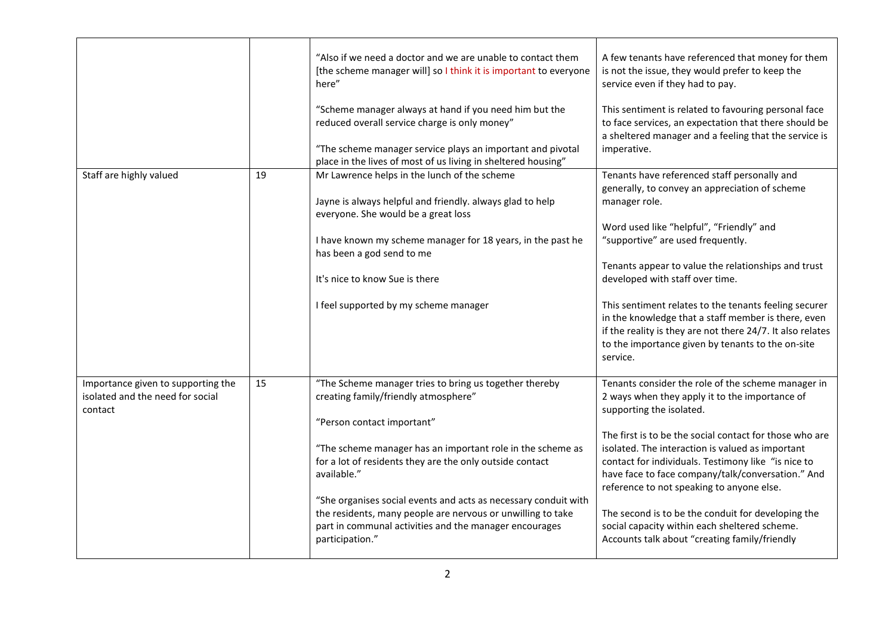|                                                                                   |    | "Also if we need a doctor and we are unable to contact them<br>[the scheme manager will] so I think it is important to everyone<br>here"<br>"Scheme manager always at hand if you need him but the<br>reduced overall service charge is only money"<br>"The scheme manager service plays an important and pivotal<br>place in the lives of most of us living in sheltered housing"                                                                                                   | A few tenants have referenced that money for them<br>is not the issue, they would prefer to keep the<br>service even if they had to pay.<br>This sentiment is related to favouring personal face<br>to face services, an expectation that there should be<br>a sheltered manager and a feeling that the service is<br>imperative.                                                                                                                                                                                                                                |
|-----------------------------------------------------------------------------------|----|--------------------------------------------------------------------------------------------------------------------------------------------------------------------------------------------------------------------------------------------------------------------------------------------------------------------------------------------------------------------------------------------------------------------------------------------------------------------------------------|------------------------------------------------------------------------------------------------------------------------------------------------------------------------------------------------------------------------------------------------------------------------------------------------------------------------------------------------------------------------------------------------------------------------------------------------------------------------------------------------------------------------------------------------------------------|
| Staff are highly valued                                                           | 19 | Mr Lawrence helps in the lunch of the scheme<br>Jayne is always helpful and friendly. always glad to help<br>everyone. She would be a great loss<br>I have known my scheme manager for 18 years, in the past he<br>has been a god send to me<br>It's nice to know Sue is there<br>I feel supported by my scheme manager                                                                                                                                                              | Tenants have referenced staff personally and<br>generally, to convey an appreciation of scheme<br>manager role.<br>Word used like "helpful", "Friendly" and<br>"supportive" are used frequently.<br>Tenants appear to value the relationships and trust<br>developed with staff over time.<br>This sentiment relates to the tenants feeling securer<br>in the knowledge that a staff member is there, even<br>if the reality is they are not there 24/7. It also relates<br>to the importance given by tenants to the on-site<br>service.                        |
| Importance given to supporting the<br>isolated and the need for social<br>contact | 15 | "The Scheme manager tries to bring us together thereby<br>creating family/friendly atmosphere"<br>"Person contact important"<br>"The scheme manager has an important role in the scheme as<br>for a lot of residents they are the only outside contact<br>available."<br>"She organises social events and acts as necessary conduit with<br>the residents, many people are nervous or unwilling to take<br>part in communal activities and the manager encourages<br>participation." | Tenants consider the role of the scheme manager in<br>2 ways when they apply it to the importance of<br>supporting the isolated.<br>The first is to be the social contact for those who are<br>isolated. The interaction is valued as important<br>contact for individuals. Testimony like "is nice to<br>have face to face company/talk/conversation." And<br>reference to not speaking to anyone else.<br>The second is to be the conduit for developing the<br>social capacity within each sheltered scheme.<br>Accounts talk about "creating family/friendly |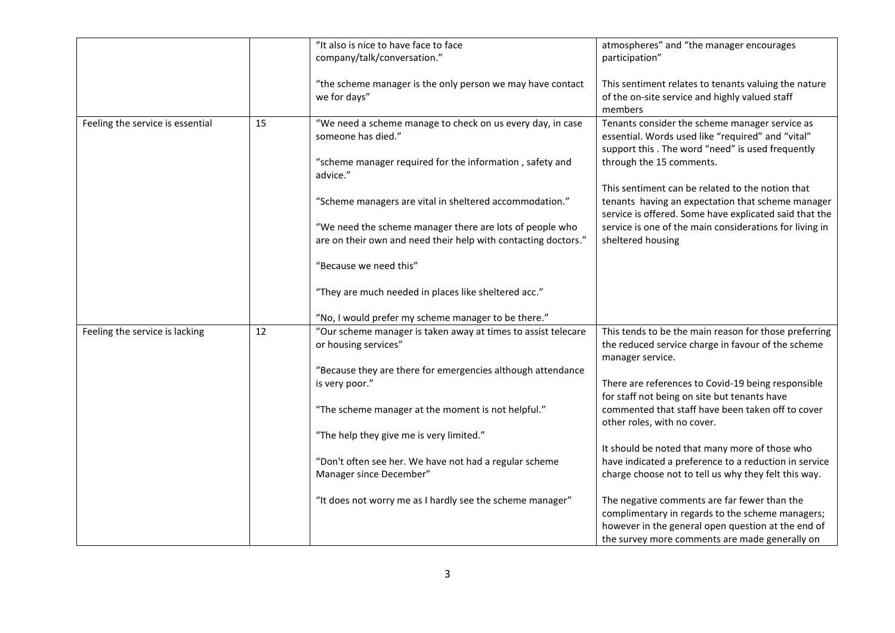|                                  |    | "It also is nice to have face to face                          | atmospheres" and "the manager encourages                |
|----------------------------------|----|----------------------------------------------------------------|---------------------------------------------------------|
|                                  |    | company/talk/conversation."                                    | participation"                                          |
|                                  |    |                                                                |                                                         |
|                                  |    | "the scheme manager is the only person we may have contact     | This sentiment relates to tenants valuing the nature    |
|                                  |    |                                                                |                                                         |
|                                  |    | we for days"                                                   | of the on-site service and highly valued staff          |
|                                  |    |                                                                | members                                                 |
| Feeling the service is essential | 15 | "We need a scheme manage to check on us every day, in case     | Tenants consider the scheme manager service as          |
|                                  |    | someone has died."                                             | essential. Words used like "required" and "vital"       |
|                                  |    |                                                                | support this . The word "need" is used frequently       |
|                                  |    |                                                                | through the 15 comments.                                |
|                                  |    | "scheme manager required for the information, safety and       |                                                         |
|                                  |    | advice."                                                       |                                                         |
|                                  |    |                                                                | This sentiment can be related to the notion that        |
|                                  |    | "Scheme managers are vital in sheltered accommodation."        | tenants having an expectation that scheme manager       |
|                                  |    |                                                                | service is offered. Some have explicated said that the  |
|                                  |    | "We need the scheme manager there are lots of people who       | service is one of the main considerations for living in |
|                                  |    |                                                                |                                                         |
|                                  |    | are on their own and need their help with contacting doctors." | sheltered housing                                       |
|                                  |    |                                                                |                                                         |
|                                  |    | "Because we need this"                                         |                                                         |
|                                  |    |                                                                |                                                         |
|                                  |    | "They are much needed in places like sheltered acc."           |                                                         |
|                                  |    |                                                                |                                                         |
|                                  |    | "No, I would prefer my scheme manager to be there."            |                                                         |
| Feeling the service is lacking   | 12 | "Our scheme manager is taken away at times to assist telecare  | This tends to be the main reason for those preferring   |
|                                  |    | or housing services"                                           | the reduced service charge in favour of the scheme      |
|                                  |    |                                                                | manager service.                                        |
|                                  |    |                                                                |                                                         |
|                                  |    | "Because they are there for emergencies although attendance    |                                                         |
|                                  |    | is very poor."                                                 | There are references to Covid-19 being responsible      |
|                                  |    |                                                                | for staff not being on site but tenants have            |
|                                  |    | "The scheme manager at the moment is not helpful."             | commented that staff have been taken off to cover       |
|                                  |    |                                                                | other roles, with no cover.                             |
|                                  |    | "The help they give me is very limited."                       |                                                         |
|                                  |    |                                                                |                                                         |
|                                  |    |                                                                | It should be noted that many more of those who          |
|                                  |    | "Don't often see her. We have not had a regular scheme         | have indicated a preference to a reduction in service   |
|                                  |    | Manager since December"                                        | charge choose not to tell us why they felt this way.    |
|                                  |    |                                                                |                                                         |
|                                  |    | "It does not worry me as I hardly see the scheme manager"      | The negative comments are far fewer than the            |
|                                  |    |                                                                | complimentary in regards to the scheme managers;        |
|                                  |    |                                                                |                                                         |
|                                  |    |                                                                | however in the general open question at the end of      |
|                                  |    |                                                                | the survey more comments are made generally on          |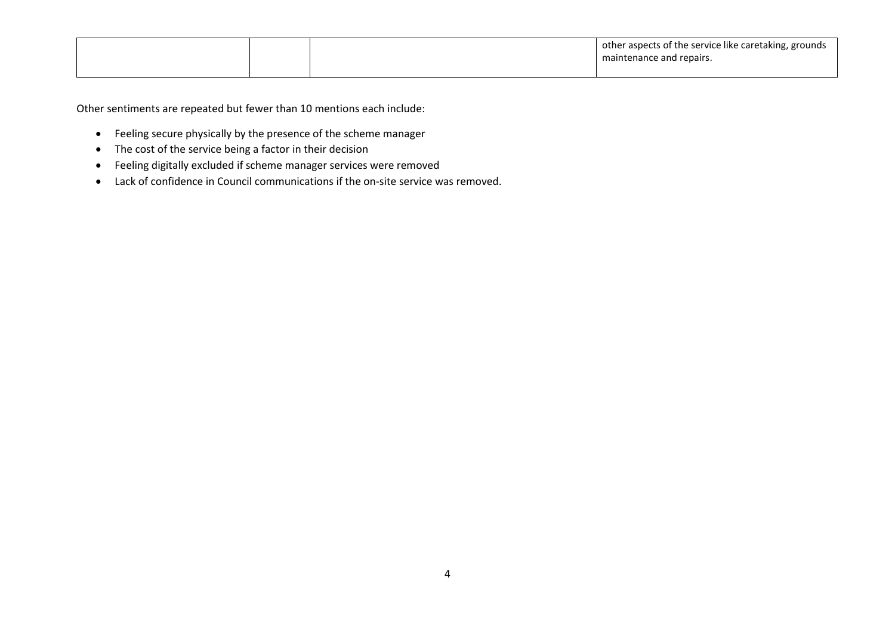|  | I other aspects of the service like caretaking, grounds<br>maintenance and repairs. |
|--|-------------------------------------------------------------------------------------|
|  |                                                                                     |

Other sentiments are repeated but fewer than 10 mentions each include:

- Feeling secure physically by the presence of the scheme manager
- The cost of the service being a factor in their decision
- Feeling digitally excluded if scheme manager services were removed
- Lack of confidence in Council communications if the on-site service was removed.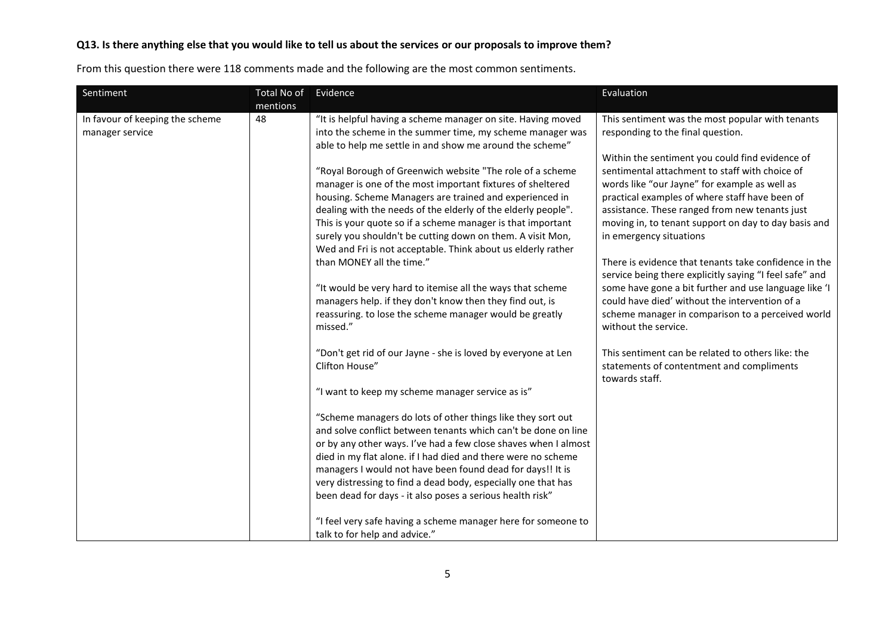## **Q13. Is there anything else that you would like to tell us about the services or our proposals to improve them?**

From this question there were 118 comments made and the following are the most common sentiments.

| Sentiment                                          | Total No of    | Evidence                                                                                                                                                                                                                                                                                                                                                                                                                                                                                                                                                                                                                                                                                                                                                                                                                                                                                                                                                                                                                                                                                                                                                                                                                                                                                                                                                                                                                                                                                                                                         | Evaluation                                                                                                                                                                                                                                                                                                                                                                                                                                                                                                                                                                                                                                                                                                                                                                                                                                                         |
|----------------------------------------------------|----------------|--------------------------------------------------------------------------------------------------------------------------------------------------------------------------------------------------------------------------------------------------------------------------------------------------------------------------------------------------------------------------------------------------------------------------------------------------------------------------------------------------------------------------------------------------------------------------------------------------------------------------------------------------------------------------------------------------------------------------------------------------------------------------------------------------------------------------------------------------------------------------------------------------------------------------------------------------------------------------------------------------------------------------------------------------------------------------------------------------------------------------------------------------------------------------------------------------------------------------------------------------------------------------------------------------------------------------------------------------------------------------------------------------------------------------------------------------------------------------------------------------------------------------------------------------|--------------------------------------------------------------------------------------------------------------------------------------------------------------------------------------------------------------------------------------------------------------------------------------------------------------------------------------------------------------------------------------------------------------------------------------------------------------------------------------------------------------------------------------------------------------------------------------------------------------------------------------------------------------------------------------------------------------------------------------------------------------------------------------------------------------------------------------------------------------------|
| In favour of keeping the scheme<br>manager service | mentions<br>48 | "It is helpful having a scheme manager on site. Having moved<br>into the scheme in the summer time, my scheme manager was<br>able to help me settle in and show me around the scheme"<br>"Royal Borough of Greenwich website "The role of a scheme<br>manager is one of the most important fixtures of sheltered<br>housing. Scheme Managers are trained and experienced in<br>dealing with the needs of the elderly of the elderly people".<br>This is your quote so if a scheme manager is that important<br>surely you shouldn't be cutting down on them. A visit Mon,<br>Wed and Fri is not acceptable. Think about us elderly rather<br>than MONEY all the time."<br>"It would be very hard to itemise all the ways that scheme<br>managers help. if they don't know then they find out, is<br>reassuring. to lose the scheme manager would be greatly<br>missed."<br>"Don't get rid of our Jayne - she is loved by everyone at Len<br>Clifton House"<br>"I want to keep my scheme manager service as is"<br>"Scheme managers do lots of other things like they sort out<br>and solve conflict between tenants which can't be done on line<br>or by any other ways. I've had a few close shaves when I almost<br>died in my flat alone. if I had died and there were no scheme<br>managers I would not have been found dead for days!! It is<br>very distressing to find a dead body, especially one that has<br>been dead for days - it also poses a serious health risk"<br>"I feel very safe having a scheme manager here for someone to | This sentiment was the most popular with tenants<br>responding to the final question.<br>Within the sentiment you could find evidence of<br>sentimental attachment to staff with choice of<br>words like "our Jayne" for example as well as<br>practical examples of where staff have been of<br>assistance. These ranged from new tenants just<br>moving in, to tenant support on day to day basis and<br>in emergency situations<br>There is evidence that tenants take confidence in the<br>service being there explicitly saying "I feel safe" and<br>some have gone a bit further and use language like 'I<br>could have died' without the intervention of a<br>scheme manager in comparison to a perceived world<br>without the service.<br>This sentiment can be related to others like: the<br>statements of contentment and compliments<br>towards staff. |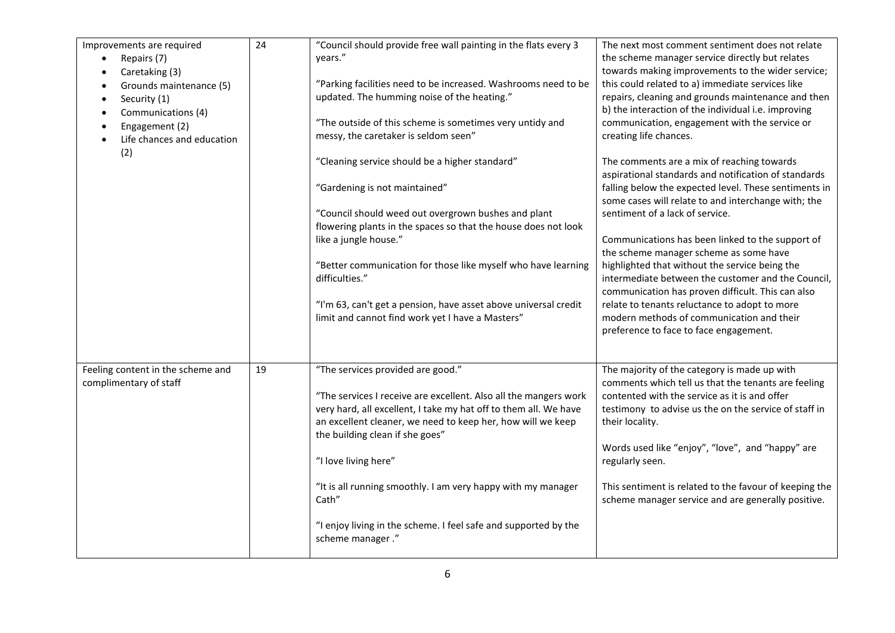| Improvements are required<br>Repairs (7)<br>Caretaking (3)<br>Grounds maintenance (5)<br>$\bullet$<br>Security (1)<br>$\bullet$<br>Communications (4)<br>$\bullet$<br>Engagement (2)<br>Life chances and education<br>(2) | 24 | "Council should provide free wall painting in the flats every 3<br>years."<br>"Parking facilities need to be increased. Washrooms need to be<br>updated. The humming noise of the heating."<br>"The outside of this scheme is sometimes very untidy and<br>messy, the caretaker is seldom seen"<br>"Cleaning service should be a higher standard"<br>"Gardening is not maintained"                                                                                  | The next most comment sentiment does not relate<br>the scheme manager service directly but relates<br>towards making improvements to the wider service;<br>this could related to a) immediate services like<br>repairs, cleaning and grounds maintenance and then<br>b) the interaction of the individual i.e. improving<br>communication, engagement with the service or<br>creating life chances.<br>The comments are a mix of reaching towards<br>aspirational standards and notification of standards<br>falling below the expected level. These sentiments in |
|---------------------------------------------------------------------------------------------------------------------------------------------------------------------------------------------------------------------------|----|---------------------------------------------------------------------------------------------------------------------------------------------------------------------------------------------------------------------------------------------------------------------------------------------------------------------------------------------------------------------------------------------------------------------------------------------------------------------|--------------------------------------------------------------------------------------------------------------------------------------------------------------------------------------------------------------------------------------------------------------------------------------------------------------------------------------------------------------------------------------------------------------------------------------------------------------------------------------------------------------------------------------------------------------------|
|                                                                                                                                                                                                                           |    | "Council should weed out overgrown bushes and plant<br>flowering plants in the spaces so that the house does not look<br>like a jungle house."<br>"Better communication for those like myself who have learning<br>difficulties."<br>"I'm 63, can't get a pension, have asset above universal credit<br>limit and cannot find work yet I have a Masters"                                                                                                            | some cases will relate to and interchange with; the<br>sentiment of a lack of service.<br>Communications has been linked to the support of<br>the scheme manager scheme as some have<br>highlighted that without the service being the<br>intermediate between the customer and the Council,<br>communication has proven difficult. This can also<br>relate to tenants reluctance to adopt to more<br>modern methods of communication and their<br>preference to face to face engagement.                                                                          |
| Feeling content in the scheme and<br>complimentary of staff                                                                                                                                                               | 19 | "The services provided are good."<br>"The services I receive are excellent. Also all the mangers work<br>very hard, all excellent, I take my hat off to them all. We have<br>an excellent cleaner, we need to keep her, how will we keep<br>the building clean if she goes"<br>"I love living here"<br>"It is all running smoothly. I am very happy with my manager<br>Cath"<br>"I enjoy living in the scheme. I feel safe and supported by the<br>scheme manager." | The majority of the category is made up with<br>comments which tell us that the tenants are feeling<br>contented with the service as it is and offer<br>testimony to advise us the on the service of staff in<br>their locality.<br>Words used like "enjoy", "love", and "happy" are<br>regularly seen.<br>This sentiment is related to the favour of keeping the<br>scheme manager service and are generally positive.                                                                                                                                            |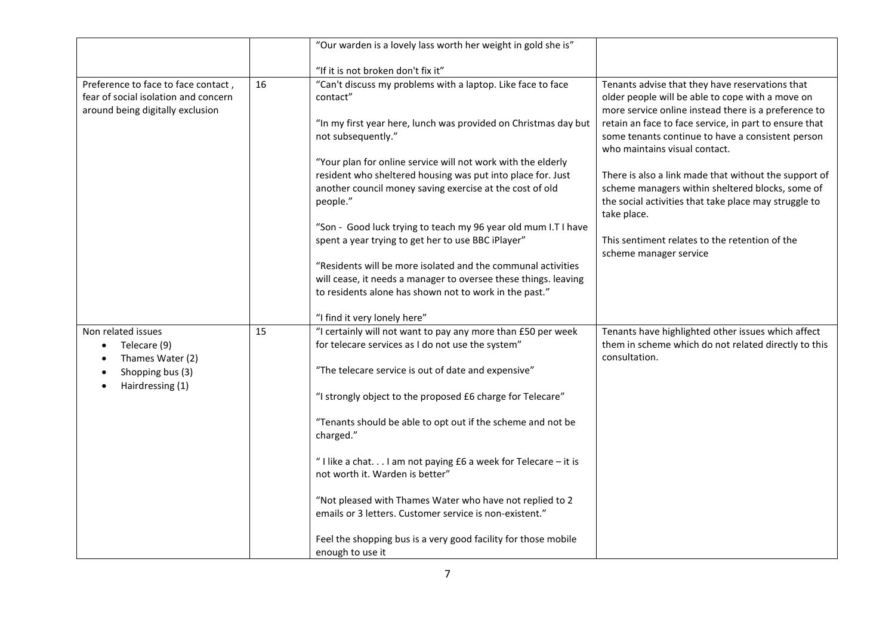|                                                                                                                 |    | "Our warden is a lovely lass worth her weight in gold she is"                                                                                                                                                                                                                                                                                                                                                                                                                                                                                                                                                                                                                                                                |                                                                                                                                                                                                                                                                                                                                                                                                                                                                                                                                                                              |
|-----------------------------------------------------------------------------------------------------------------|----|------------------------------------------------------------------------------------------------------------------------------------------------------------------------------------------------------------------------------------------------------------------------------------------------------------------------------------------------------------------------------------------------------------------------------------------------------------------------------------------------------------------------------------------------------------------------------------------------------------------------------------------------------------------------------------------------------------------------------|------------------------------------------------------------------------------------------------------------------------------------------------------------------------------------------------------------------------------------------------------------------------------------------------------------------------------------------------------------------------------------------------------------------------------------------------------------------------------------------------------------------------------------------------------------------------------|
|                                                                                                                 |    | "If it is not broken don't fix it"                                                                                                                                                                                                                                                                                                                                                                                                                                                                                                                                                                                                                                                                                           |                                                                                                                                                                                                                                                                                                                                                                                                                                                                                                                                                                              |
| Preference to face to face contact,<br>fear of social isolation and concern<br>around being digitally exclusion | 16 | "Can't discuss my problems with a laptop. Like face to face<br>contact"<br>"In my first year here, lunch was provided on Christmas day but<br>not subsequently."<br>"Your plan for online service will not work with the elderly<br>resident who sheltered housing was put into place for. Just<br>another council money saving exercise at the cost of old<br>people."<br>"Son - Good luck trying to teach my 96 year old mum I.T I have<br>spent a year trying to get her to use BBC iPlayer"<br>"Residents will be more isolated and the communal activities<br>will cease, it needs a manager to oversee these things. leaving<br>to residents alone has shown not to work in the past."<br>"I find it very lonely here" | Tenants advise that they have reservations that<br>older people will be able to cope with a move on<br>more service online instead there is a preference to<br>retain an face to face service, in part to ensure that<br>some tenants continue to have a consistent person<br>who maintains visual contact.<br>There is also a link made that without the support of<br>scheme managers within sheltered blocks, some of<br>the social activities that take place may struggle to<br>take place.<br>This sentiment relates to the retention of the<br>scheme manager service |
| Non related issues<br>Telecare (9)<br>Thames Water (2)<br>Shopping bus (3)<br>Hairdressing (1)                  | 15 | "I certainly will not want to pay any more than £50 per week<br>for telecare services as I do not use the system"<br>"The telecare service is out of date and expensive"<br>"I strongly object to the proposed £6 charge for Telecare"<br>"Tenants should be able to opt out if the scheme and not be<br>charged."<br>"I like a chat. I am not paying £6 a week for Telecare - it is<br>not worth it. Warden is better"<br>"Not pleased with Thames Water who have not replied to 2<br>emails or 3 letters. Customer service is non-existent."<br>Feel the shopping bus is a very good facility for those mobile<br>enough to use it                                                                                         | Tenants have highlighted other issues which affect<br>them in scheme which do not related directly to this<br>consultation.                                                                                                                                                                                                                                                                                                                                                                                                                                                  |